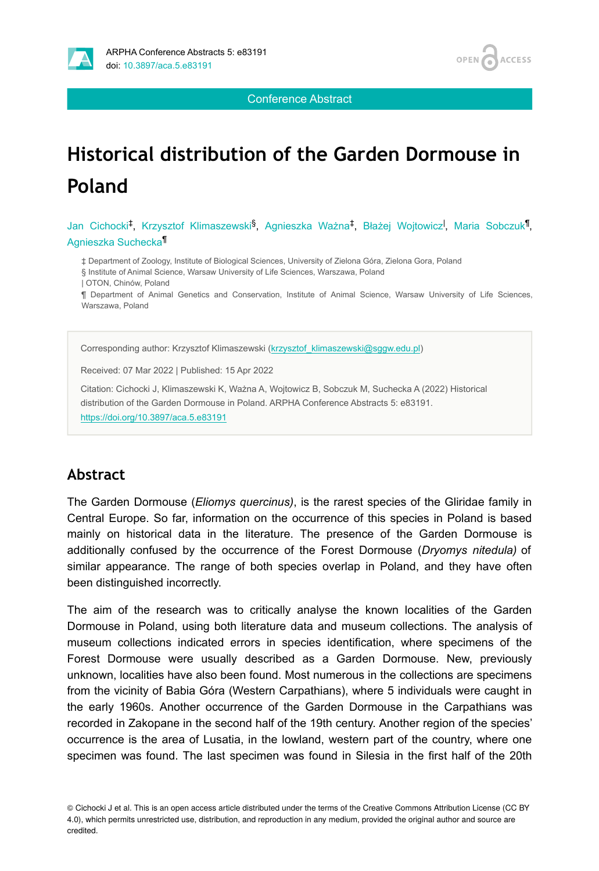

Conference Abstract

# **Historical distribution of the Garden Dormouse in Poland**

Jan Cichocki<sup>‡</sup>, Krzysztof Klimaszewski<sup>§</sup>, Agnieszka Ważna<sup>‡</sup>, Błażej Wojtowicz<sup>I</sup>, Maria Sobczuk<sup>¶</sup>, Agnieszka Suchecka<sup>11</sup>

‡ Department of Zoology, Institute of Biological Sciences, University of Zielona Góra, Zielona Gora, Poland § Institute of Animal Science, Warsaw University of Life Sciences, Warszawa, Poland

| OTON, Chinów, Poland

¶ Department of Animal Genetics and Conservation, Institute of Animal Science, Warsaw University of Life Sciences, Warszawa, Poland

Corresponding author: Krzysztof Klimaszewski ([krzysztof\\_klimaszewski@sggw.edu.pl\)](mailto:krzysztof_klimaszewski@sggw.edu.pl)

Received: 07 Mar 2022 | Published: 15 Apr 2022

Citation: Cichocki J, Klimaszewski K, Ważna A, Wojtowicz B, Sobczuk M, Suchecka A (2022) Historical distribution of the Garden Dormouse in Poland. ARPHA Conference Abstracts 5: e83191. <https://doi.org/10.3897/aca.5.e83191>

### **Abstract**

The Garden Dormouse (*Eliomys quercinus)*, is the rarest species of the Gliridae family in Central Europe. So far, information on the occurrence of this species in Poland is based mainly on historical data in the literature. The presence of the Garden Dormouse is additionally confused by the occurrence of the Forest Dormouse (*Dryomys nitedula)* of similar appearance. The range of both species overlap in Poland, and they have often been distinguished incorrectly.

The aim of the research was to critically analyse the known localities of the Garden Dormouse in Poland, using both literature data and museum collections. The analysis of museum collections indicated errors in species identification, where specimens of the Forest Dormouse were usually described as a Garden Dormouse. New, previously unknown, localities have also been found. Most numerous in the collections are specimens from the vicinity of Babia Góra (Western Carpathians), where 5 individuals were caught in the early 1960s. Another occurrence of the Garden Dormouse in the Carpathians was recorded in Zakopane in the second half of the 19th century. Another region of the species' occurrence is the area of Lusatia, in the lowland, western part of the country, where one specimen was found. The last specimen was found in Silesia in the first half of the 20th

© Cichocki J et al. This is an open access article distributed under the terms of the Creative Commons Attribution License (CC BY 4.0), which permits unrestricted use, distribution, and reproduction in any medium, provided the original author and source are credited.